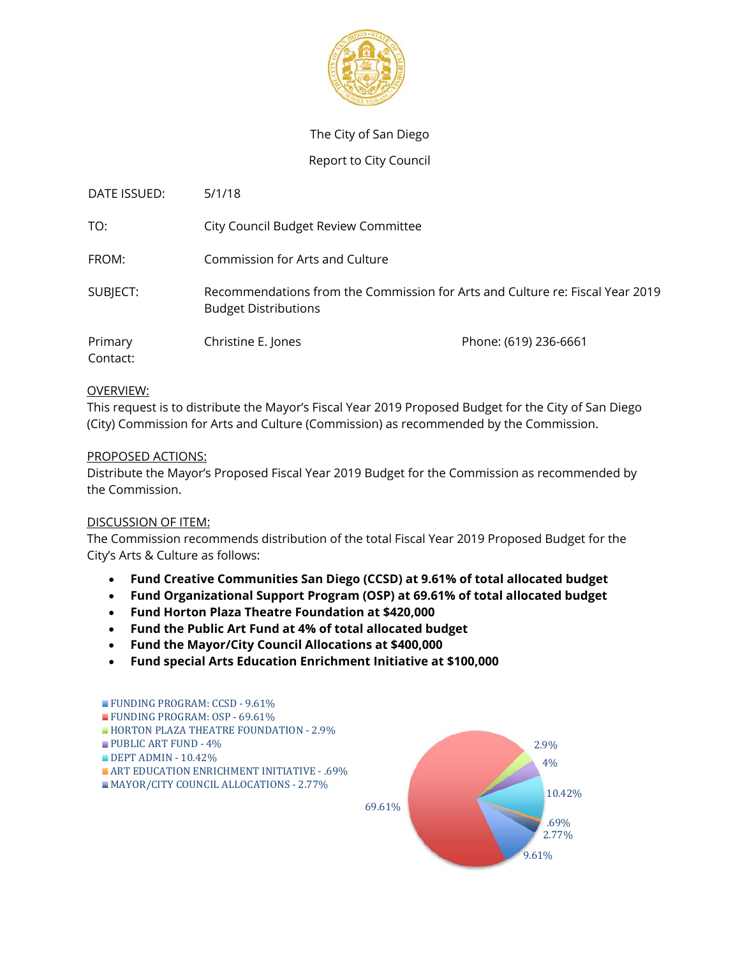

## The City of San Diego

### Report to City Council

| DATE ISSUED:        | 5/1/18                                                                                                       |                       |
|---------------------|--------------------------------------------------------------------------------------------------------------|-----------------------|
| TO:                 | City Council Budget Review Committee                                                                         |                       |
| FROM:               | Commission for Arts and Culture                                                                              |                       |
| SUBJECT:            | Recommendations from the Commission for Arts and Culture re: Fiscal Year 2019<br><b>Budget Distributions</b> |                       |
| Primary<br>Contact: | Christine E. Jones                                                                                           | Phone: (619) 236-6661 |

### OVERVIEW:

This request is to distribute the Mayor's Fiscal Year 2019 Proposed Budget for the City of San Diego (City) Commission for Arts and Culture (Commission) as recommended by the Commission.

### PROPOSED ACTIONS:

Distribute the Mayor's Proposed Fiscal Year 2019 Budget for the Commission as recommended by the Commission.

### DISCUSSION OF ITEM:

The Commission recommends distribution of the total Fiscal Year 2019 Proposed Budget for the City's Arts & Culture as follows:

- **Fund Creative Communities San Diego (CCSD) at 9.61% of total allocated budget**
- **Fund Organizational Support Program (OSP) at 69.61% of total allocated budget**
- **Fund Horton Plaza Theatre Foundation at \$420,000**
- **Fund the Public Art Fund at 4% of total allocated budget**
- **Fund the Mayor/City Council Allocations at \$400,000**
- **Fund special Arts Education Enrichment Initiative at \$100,000**

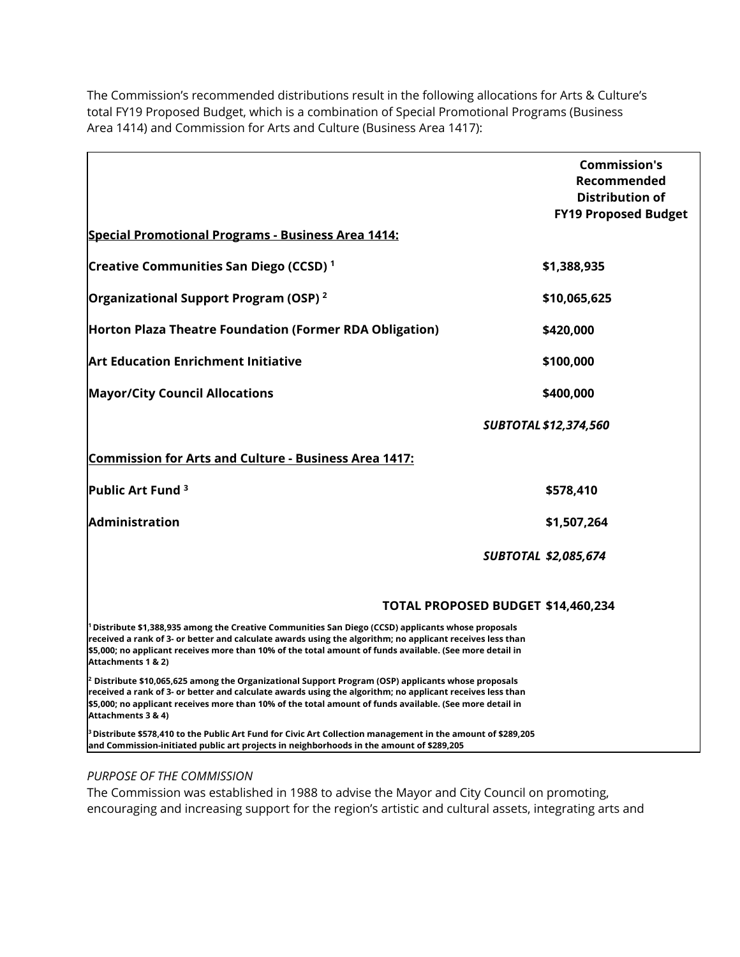The Commission's recommended distributions result in the following allocations for Arts & Culture's total FY19 Proposed Budget, which is a combination of Special Promotional Programs (Business Area 1414) and Commission for Arts and Culture (Business Area 1417):

|                                                                                                                                                                                                                                                                                                                                                               | <b>Commission's</b>                   |
|---------------------------------------------------------------------------------------------------------------------------------------------------------------------------------------------------------------------------------------------------------------------------------------------------------------------------------------------------------------|---------------------------------------|
|                                                                                                                                                                                                                                                                                                                                                               | Recommended<br><b>Distribution of</b> |
|                                                                                                                                                                                                                                                                                                                                                               | <b>FY19 Proposed Budget</b>           |
| <b>Special Promotional Programs - Business Area 1414:</b>                                                                                                                                                                                                                                                                                                     |                                       |
| Creative Communities San Diego (CCSD) <sup>1</sup>                                                                                                                                                                                                                                                                                                            | \$1,388,935                           |
| Organizational Support Program (OSP) <sup>2</sup>                                                                                                                                                                                                                                                                                                             | \$10,065,625                          |
| Horton Plaza Theatre Foundation (Former RDA Obligation)                                                                                                                                                                                                                                                                                                       | \$420,000                             |
| <b>Art Education Enrichment Initiative</b>                                                                                                                                                                                                                                                                                                                    | \$100,000                             |
| <b>Mayor/City Council Allocations</b>                                                                                                                                                                                                                                                                                                                         | \$400,000                             |
|                                                                                                                                                                                                                                                                                                                                                               | <b>SUBTOTAL \$12,374,560</b>          |
| <b>Commission for Arts and Culture - Business Area 1417:</b>                                                                                                                                                                                                                                                                                                  |                                       |
| Public Art Fund <sup>3</sup>                                                                                                                                                                                                                                                                                                                                  | \$578,410                             |
| Administration                                                                                                                                                                                                                                                                                                                                                | \$1,507,264                           |
|                                                                                                                                                                                                                                                                                                                                                               | <b>SUBTOTAL \$2,085,674</b>           |
|                                                                                                                                                                                                                                                                                                                                                               | TOTAL PROPOSED BUDGET \$14,460,234    |
| <sup>1</sup> Distribute \$1,388,935 among the Creative Communities San Diego (CCSD) applicants whose proposals<br>received a rank of 3- or better and calculate awards using the algorithm; no applicant receives less than<br>\$5,000; no applicant receives more than 10% of the total amount of funds available. (See more detail in<br>Attachments 1 & 2) |                                       |
| $^2$ Distribute \$10,065,625 among the Organizational Support Program (OSP) applicants whose proposals<br>received a rank of 3- or better and calculate awards using the algorithm; no applicant receives less than<br>\$5,000; no applicant receives more than 10% of the total amount of funds available. (See more detail in<br>Attachments 3 & 4)         |                                       |
| $^{\rm B}$ Distribute \$578,410 to the Public Art Fund for Civic Art Collection management in the amount of \$289,205<br>and Commission-initiated public art projects in neighborhoods in the amount of \$289,205                                                                                                                                             |                                       |

#### *PURPOSE OF THE COMMISSION*

The Commission was established in 1988 to advise the Mayor and City Council on promoting, encouraging and increasing support for the region's artistic and cultural assets, integrating arts and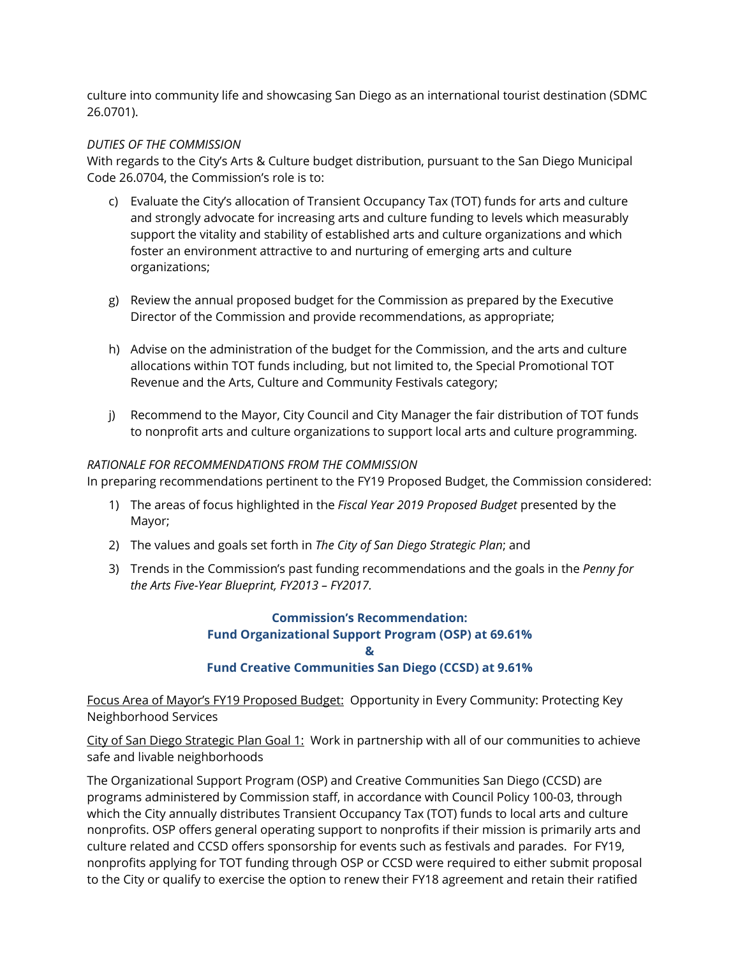culture into community life and showcasing San Diego as an international tourist destination (SDMC 26.0701).

### *DUTIES OF THE COMMISSION*

With regards to the City's Arts & Culture budget distribution, pursuant to the San Diego Municipal Code 26.0704, the Commission's role is to:

- c) Evaluate the City's allocation of Transient Occupancy Tax (TOT) funds for arts and culture and strongly advocate for increasing arts and culture funding to levels which measurably support the vitality and stability of established arts and culture organizations and which foster an environment attractive to and nurturing of emerging arts and culture organizations;
- g) Review the annual proposed budget for the Commission as prepared by the Executive Director of the Commission and provide recommendations, as appropriate;
- h) Advise on the administration of the budget for the Commission, and the arts and culture allocations within TOT funds including, but not limited to, the Special Promotional TOT Revenue and the Arts, Culture and Community Festivals category;
- j) Recommend to the Mayor, City Council and City Manager the fair distribution of TOT funds to nonprofit arts and culture organizations to support local arts and culture programming.

## *RATIONALE FOR RECOMMENDATIONS FROM THE COMMISSION*

In preparing recommendations pertinent to the FY19 Proposed Budget, the Commission considered:

- 1) The areas of focus highlighted in the *Fiscal Year 2019 Proposed Budget* presented by the Mayor;
- 2) The values and goals set forth in *The City of San Diego Strategic Plan*; and
- 3) Trends in the Commission's past funding recommendations and the goals in the *Penny for the Arts Five-Year Blueprint, FY2013 – FY2017.*

### **Commission's Recommendation: Fund Organizational Support Program (OSP) at 69.61% & Fund Creative Communities San Diego (CCSD) at 9.61%**

Focus Area of Mayor's FY19 Proposed Budget: Opportunity in Every Community: Protecting Key Neighborhood Services

City of San Diego Strategic Plan Goal 1: Work in partnership with all of our communities to achieve safe and livable neighborhoods

The Organizational Support Program (OSP) and Creative Communities San Diego (CCSD) are programs administered by Commission staff, in accordance with Council Policy 100-03, through which the City annually distributes Transient Occupancy Tax (TOT) funds to local arts and culture nonprofits. OSP offers general operating support to nonprofits if their mission is primarily arts and culture related and CCSD offers sponsorship for events such as festivals and parades. For FY19, nonprofits applying for TOT funding through OSP or CCSD were required to either submit proposal to the City or qualify to exercise the option to renew their FY18 agreement and retain their ratified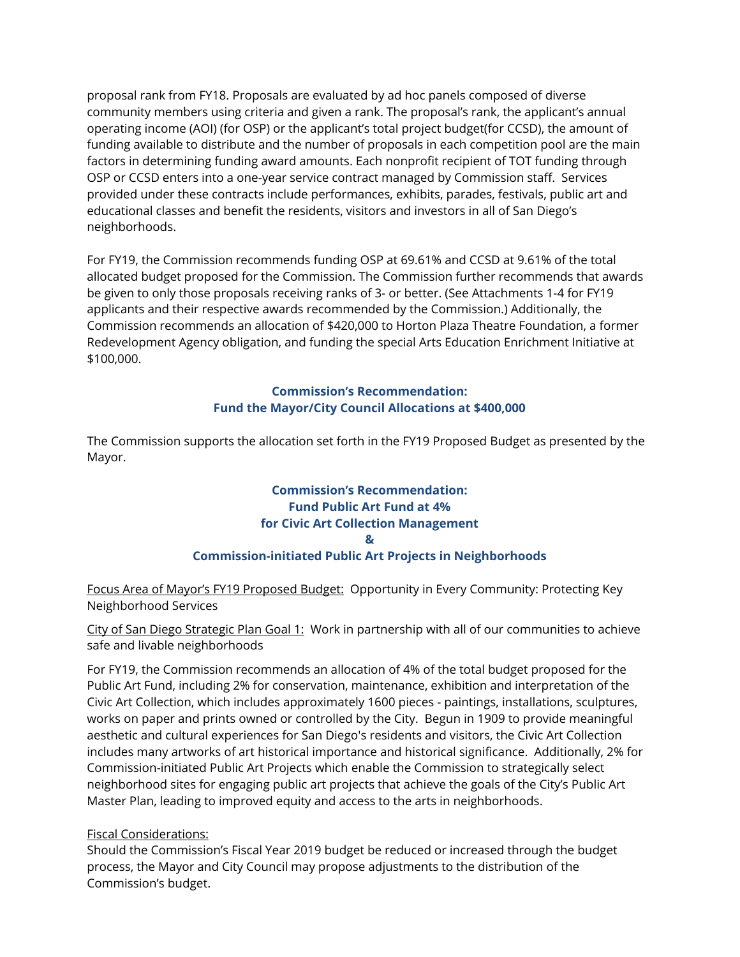proposal rank from FY18. Proposals are evaluated by ad hoc panels composed of diverse community members using criteria and given a rank. The proposal's rank, the applicant's annual operating income (AOI) (for OSP) or the applicant's total project budget(for CCSD), the amount of funding available to distribute and the number of proposals in each competition pool are the main factors in determining funding award amounts. Each nonprofit recipient of TOT funding through OSP or CCSD enters into a one-year service contract managed by Commission staff. Services provided under these contracts include performances, exhibits, parades, festivals, public art and educational classes and benefit the residents, visitors and investors in all of San Diego's neighborhoods.

For FY19, the Commission recommends funding OSP at 69.61% and CCSD at 9.61% of the total allocated budget proposed for the Commission. The Commission further recommends that awards be given to only those proposals receiving ranks of 3- or better. (See Attachments 1-4 for FY19 applicants and their respective awards recommended by the Commission.) Additionally, the Commission recommends an allocation of \$420,000 to Horton Plaza Theatre Foundation, a former Redevelopment Agency obligation, and funding the special Arts Education Enrichment Initiative at \$100,000.

### **Commission's Recommendation: Fund the Mayor/City Council Allocations at \$400,000**

The Commission supports the allocation set forth in the FY19 Proposed Budget as presented by the Mayor.

## **Commission's Recommendation: Fund Public Art Fund at 4% for Civic Art Collection Management & Commission-initiated Public Art Projects in Neighborhoods**

Focus Area of Mayor's FY19 Proposed Budget: Opportunity in Every Community: Protecting Key Neighborhood Services

City of San Diego Strategic Plan Goal 1: Work in partnership with all of our communities to achieve safe and livable neighborhoods

For FY19, the Commission recommends an allocation of 4% of the total budget proposed for the Public Art Fund, including 2% for conservation, maintenance, exhibition and interpretation of the Civic Art Collection, which includes approximately 1600 pieces - paintings, installations, sculptures, works on paper and prints owned or controlled by the City. Begun in 1909 to provide meaningful aesthetic and cultural experiences for San Diego's residents and visitors, the Civic Art Collection includes many artworks of art historical importance and historical significance. Additionally, 2% for Commission-initiated Public Art Projects which enable the Commission to strategically select neighborhood sites for engaging public art projects that achieve the goals of the City's Public Art Master Plan, leading to improved equity and access to the arts in neighborhoods.

## Fiscal Considerations:

Should the Commission's Fiscal Year 2019 budget be reduced or increased through the budget process, the Mayor and City Council may propose adjustments to the distribution of the Commission's budget.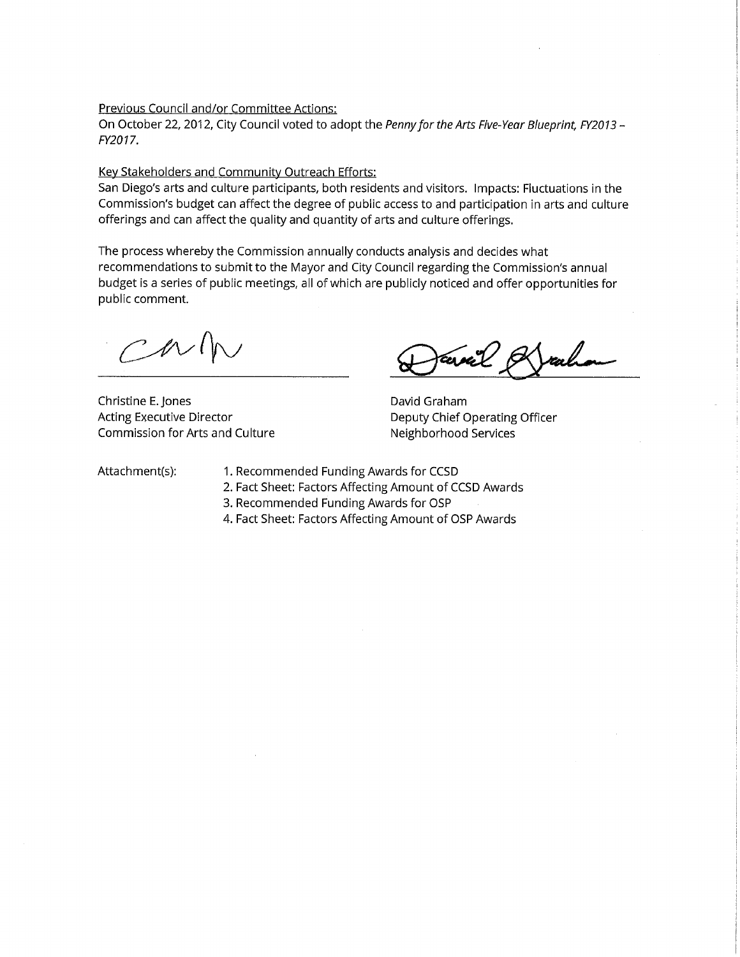#### Previous Council and/or Committee Actions:

On October 22, 2012, City Council voted to adopt the Penny for the Arts Five-Year Blueprint, FY2013 -FY2017.

#### Key Stakeholders and Community Outreach Efforts:

San Diego's arts and culture participants, both residents and visitors. Impacts: Fluctuations in the Commission's budget can affect the degree of public access to and participation in arts and culture offerings and can affect the quality and quantity of arts and culture offerings.

The process whereby the Commission annually conducts analysis and decides what recommendations to submit to the Mayor and City Council regarding the Commission's annual budget is a series of public meetings, all of which are publicly noticed and offer opportunities for public comment.

 $N/\hbar$ 

Christine E. Jones **Acting Executive Director** Commission for Arts and Culture

ral

David Graham Deputy Chief Operating Officer Neighborhood Services

Attachment(s):

- 1. Recommended Funding Awards for CCSD
- 2. Fact Sheet: Factors Affecting Amount of CCSD Awards
- 3. Recommended Funding Awards for OSP
- 4. Fact Sheet: Factors Affecting Amount of OSP Awards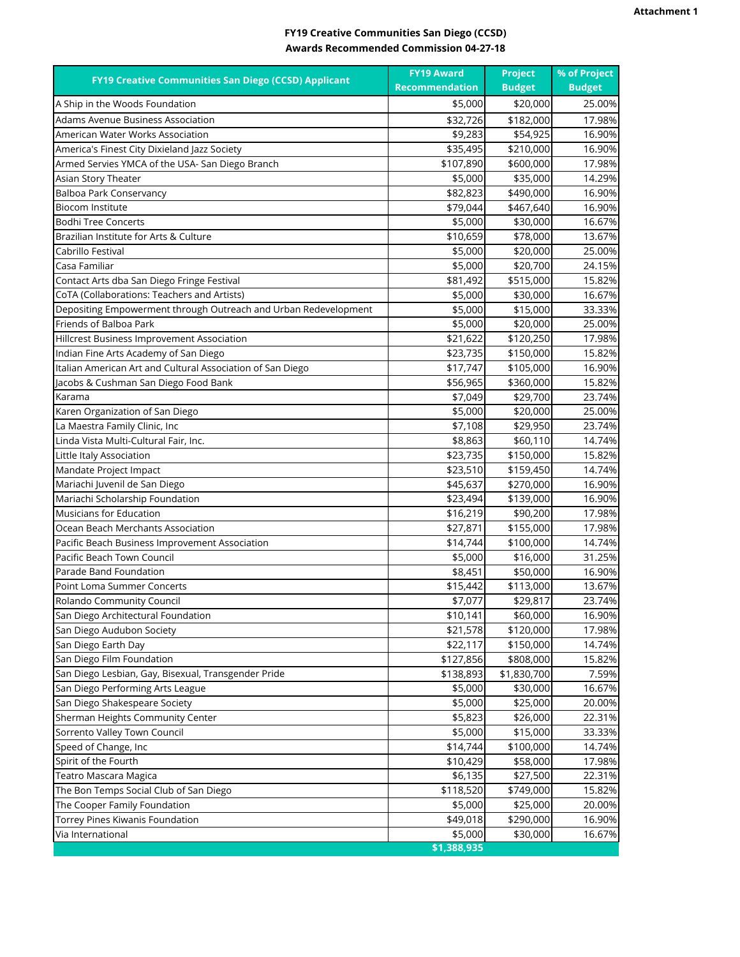### **FY19 Creative Communities San Diego (CCSD) Awards Recommended Commission 04-27-18**

|                                                                 | <b>FY19 Award</b>     | <b>Project</b>        | % of Project  |
|-----------------------------------------------------------------|-----------------------|-----------------------|---------------|
| FY19 Creative Communities San Diego (CCSD) Applicant            | <b>Recommendation</b> | <b>Budget</b>         | <b>Budget</b> |
| A Ship in the Woods Foundation                                  | \$5,000               | \$20,000              | 25.00%        |
| Adams Avenue Business Association                               | \$32,726              | \$182,000             | 17.98%        |
| American Water Works Association                                | \$9,283               | \$54,925              | 16.90%        |
| America's Finest City Dixieland Jazz Society                    | \$35,495              | \$210,000             | 16.90%        |
| Armed Servies YMCA of the USA- San Diego Branch                 | \$107,890             | \$600,000             | 17.98%        |
| Asian Story Theater                                             | \$5,000               | \$35,000              | 14.29%        |
| Balboa Park Conservancy                                         | \$82,823              | \$490,000             | 16.90%        |
| Biocom Institute                                                | \$79,044              | \$467,640             | 16.90%        |
| <b>Bodhi Tree Concerts</b>                                      | \$5,000               | \$30,000              | 16.67%        |
| Brazilian Institute for Arts & Culture                          | \$10,659              | \$78,000              | 13.67%        |
| Cabrillo Festival                                               | \$5,000               | \$20,000              | 25.00%        |
| Casa Familiar                                                   | \$5,000               | \$20,700              | 24.15%        |
| Contact Arts dba San Diego Fringe Festival                      | \$81,492              | $\overline{$}515,000$ | 15.82%        |
| CoTA (Collaborations: Teachers and Artists)                     | \$5,000               | \$30,000              | 16.67%        |
| Depositing Empowerment through Outreach and Urban Redevelopment | \$5,000               | \$15,000              | 33.33%        |
| Friends of Balboa Park                                          | \$5,000               | \$20,000              | 25.00%        |
| Hillcrest Business Improvement Association                      | \$21,622              | \$120,250             | 17.98%        |
| Indian Fine Arts Academy of San Diego                           | \$23,735              | \$150,000             | 15.82%        |
| Italian American Art and Cultural Association of San Diego      | \$17,747              | \$105,000             | 16.90%        |
| Jacobs & Cushman San Diego Food Bank                            | \$56,965              | \$360,000             | 15.82%        |
| Karama                                                          | \$7,049               | \$29,700              | 23.74%        |
| Karen Organization of San Diego                                 | \$5,000               | \$20,000              | 25.00%        |
| La Maestra Family Clinic, Inc                                   | \$7,108               | \$29,950              | 23.74%        |
| Linda Vista Multi-Cultural Fair, Inc.                           | \$8,863               | \$60,110              | 14.74%        |
| Little Italy Association                                        | \$23,735              | \$150,000             | 15.82%        |
| Mandate Project Impact                                          | \$23,510              | \$159,450             | 14.74%        |
| Mariachi Juvenil de San Diego                                   | \$45,637              | \$270,000             | 16.90%        |
| Mariachi Scholarship Foundation                                 | \$23,494              | \$139,000             | 16.90%        |
| <b>Musicians for Education</b>                                  | \$16,219              | \$90,200              | 17.98%        |
| Ocean Beach Merchants Association                               | \$27,871              | \$155,000             | 17.98%        |
| Pacific Beach Business Improvement Association                  | \$14,744              | \$100,000             | 14.74%        |
| Pacific Beach Town Council                                      | \$5,000               | \$16,000              | 31.25%        |
| Parade Band Foundation                                          | \$8,451               | \$50,000              | 16.90%        |
| Point Loma Summer Concerts                                      | \$15,442              | \$113,000             | 13.67%        |
| Rolando Community Council                                       | \$7,077               | \$29,817              | 23.74%        |
| San Diego Architectural Foundation                              | \$10,141              | \$60,000              | 16.90%        |
| San Diego Audubon Society                                       | \$21,578              | \$120,000             | 17.98%        |
| San Diego Earth Day                                             | \$22,117              | \$150,000             | 14.74%        |
| San Diego Film Foundation                                       | \$127,856             | \$808,000             | 15.82%        |
| San Diego Lesbian, Gay, Bisexual, Transgender Pride             | \$138,893             | \$1,830,700           | 7.59%         |
| San Diego Performing Arts League                                | \$5,000               | \$30,000              | 16.67%        |
| San Diego Shakespeare Society                                   | \$5,000               | \$25,000              | 20.00%        |
| Sherman Heights Community Center                                | \$5,823               | \$26,000              | 22.31%        |
| Sorrento Valley Town Council                                    | \$5,000               | \$15,000              | 33.33%        |
| Speed of Change, Inc                                            | \$14,744              | \$100,000             | 14.74%        |
| Spirit of the Fourth                                            | \$10,429              | \$58,000              | 17.98%        |
| Teatro Mascara Magica                                           | \$6,135               | \$27,500              | 22.31%        |
| The Bon Temps Social Club of San Diego                          | \$118,520             | \$749,000             | 15.82%        |
| The Cooper Family Foundation                                    | \$5,000               | \$25,000              | 20.00%        |
| Torrey Pines Kiwanis Foundation                                 | \$49,018              | \$290,000             | 16.90%        |
| Via International                                               | \$5,000               | \$30,000              | 16.67%        |
|                                                                 | \$1,388,935           |                       |               |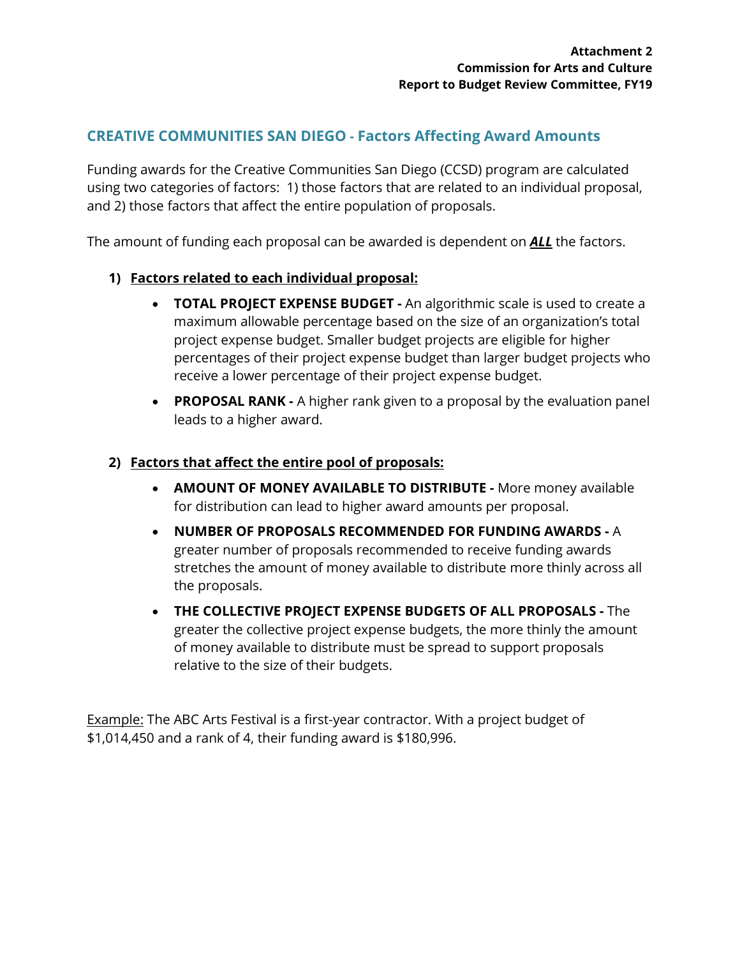# **CREATIVE COMMUNITIES SAN DIEGO - Factors Affecting Award Amounts**

Funding awards for the Creative Communities San Diego (CCSD) program are calculated using two categories of factors: 1) those factors that are related to an individual proposal, and 2) those factors that affect the entire population of proposals.

The amount of funding each proposal can be awarded is dependent on *ALL* the factors.

# **1) Factors related to each individual proposal:**

- **TOTAL PROJECT EXPENSE BUDGET** An algorithmic scale is used to create a maximum allowable percentage based on the size of an organization's total project expense budget. Smaller budget projects are eligible for higher percentages of their project expense budget than larger budget projects who receive a lower percentage of their project expense budget.
- **PROPOSAL RANK** A higher rank given to a proposal by the evaluation panel leads to a higher award.

## **2) Factors that affect the entire pool of proposals:**

- **AMOUNT OF MONEY AVAILABLE TO DISTRIBUTE** More money available for distribution can lead to higher award amounts per proposal.
- **NUMBER OF PROPOSALS RECOMMENDED FOR FUNDING AWARDS** A greater number of proposals recommended to receive funding awards stretches the amount of money available to distribute more thinly across all the proposals.
- **THE COLLECTIVE PROJECT EXPENSE BUDGETS OF ALL PROPOSALS** The greater the collective project expense budgets, the more thinly the amount of money available to distribute must be spread to support proposals relative to the size of their budgets.

Example: The ABC Arts Festival is a first-year contractor. With a project budget of \$1,014,450 and a rank of 4, their funding award is \$180,996.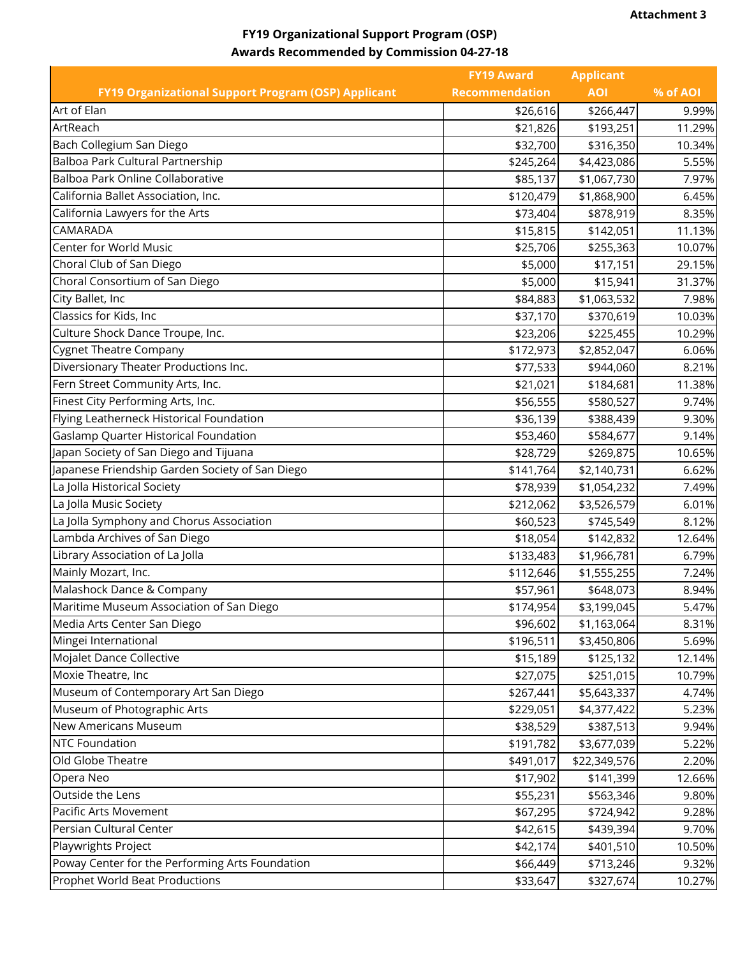# **FY19 Organizational Support Program (OSP) Awards Recommended by Commission 04-27-18**

|                                                            | <b>FY19 Award</b>     | <b>Applicant</b> |          |
|------------------------------------------------------------|-----------------------|------------------|----------|
| <b>FY19 Organizational Support Program (OSP) Applicant</b> | <b>Recommendation</b> | <b>AOI</b>       | % of AOI |
| Art of Elan                                                | \$26,616              | \$266,447        | 9.99%    |
| ArtReach                                                   | \$21,826              | \$193,251        | 11.29%   |
| Bach Collegium San Diego                                   | \$32,700              | \$316,350        | 10.34%   |
| Balboa Park Cultural Partnership                           | \$245,264             | \$4,423,086      | 5.55%    |
| Balboa Park Online Collaborative                           | \$85,137              | \$1,067,730      | 7.97%    |
| California Ballet Association, Inc.                        | \$120,479             | \$1,868,900      | 6.45%    |
| California Lawyers for the Arts                            | \$73,404              | \$878,919        | 8.35%    |
| CAMARADA                                                   | \$15,815              | \$142,051        | 11.13%   |
| Center for World Music                                     | \$25,706              | \$255,363        | 10.07%   |
| Choral Club of San Diego                                   | \$5,000               | \$17,151         | 29.15%   |
| Choral Consortium of San Diego                             | \$5,000               | \$15,941         | 31.37%   |
| City Ballet, Inc                                           | \$84,883              | \$1,063,532      | 7.98%    |
| Classics for Kids, Inc                                     | \$37,170              | \$370,619        | 10.03%   |
| Culture Shock Dance Troupe, Inc.                           | \$23,206              | \$225,455        | 10.29%   |
| <b>Cygnet Theatre Company</b>                              | \$172,973             | \$2,852,047      | 6.06%    |
| Diversionary Theater Productions Inc.                      | \$77,533              | \$944,060        | 8.21%    |
| Fern Street Community Arts, Inc.                           | \$21,021              | \$184,681        | 11.38%   |
| Finest City Performing Arts, Inc.                          | \$56,555              | \$580,527        | 9.74%    |
| Flying Leatherneck Historical Foundation                   | \$36,139              | \$388,439        | 9.30%    |
| Gaslamp Quarter Historical Foundation                      | \$53,460              | \$584,677        | 9.14%    |
| Japan Society of San Diego and Tijuana                     | \$28,729              | \$269,875        | 10.65%   |
| Japanese Friendship Garden Society of San Diego            | \$141,764             | \$2,140,731      | 6.62%    |
| La Jolla Historical Society                                | \$78,939              | \$1,054,232      | 7.49%    |
| La Jolla Music Society                                     | \$212,062             | \$3,526,579      | 6.01%    |
| La Jolla Symphony and Chorus Association                   | \$60,523              | \$745,549        | 8.12%    |
| Lambda Archives of San Diego                               | \$18,054              | \$142,832        | 12.64%   |
| Library Association of La Jolla                            | \$133,483             | \$1,966,781      | 6.79%    |
| Mainly Mozart, Inc.                                        | \$112,646             | \$1,555,255      | 7.24%    |
| Malashock Dance & Company                                  | \$57,961              | \$648,073        | 8.94%    |
| Maritime Museum Association of San Diego                   | \$174,954             | \$3,199,045      | 5.47%    |
| Media Arts Center San Diego                                | \$96,602              | \$1,163,064      | 8.31%    |
| Mingei International                                       | \$196,511             | \$3,450,806      | 5.69%    |
| Mojalet Dance Collective                                   | \$15,189              | \$125,132        | 12.14%   |
| Moxie Theatre, Inc                                         | \$27,075              | \$251,015        | 10.79%   |
| Museum of Contemporary Art San Diego                       | \$267,441             | \$5,643,337      | 4.74%    |
| Museum of Photographic Arts                                | \$229,051             | \$4,377,422      | 5.23%    |
| New Americans Museum                                       | \$38,529              | \$387,513        | 9.94%    |
| <b>NTC Foundation</b>                                      | \$191,782             | \$3,677,039      | 5.22%    |
| Old Globe Theatre                                          | \$491,017             | \$22,349,576     | 2.20%    |
| Opera Neo                                                  | \$17,902              | \$141,399        | 12.66%   |
| Outside the Lens                                           | \$55,231              | \$563,346        | 9.80%    |
| Pacific Arts Movement                                      | \$67,295              | \$724,942        | 9.28%    |
| Persian Cultural Center                                    | \$42,615              | \$439,394        | 9.70%    |
| Playwrights Project                                        | \$42,174              | \$401,510        | 10.50%   |
| Poway Center for the Performing Arts Foundation            | \$66,449              | \$713,246        | 9.32%    |
| Prophet World Beat Productions                             | \$33,647              | \$327,674        | 10.27%   |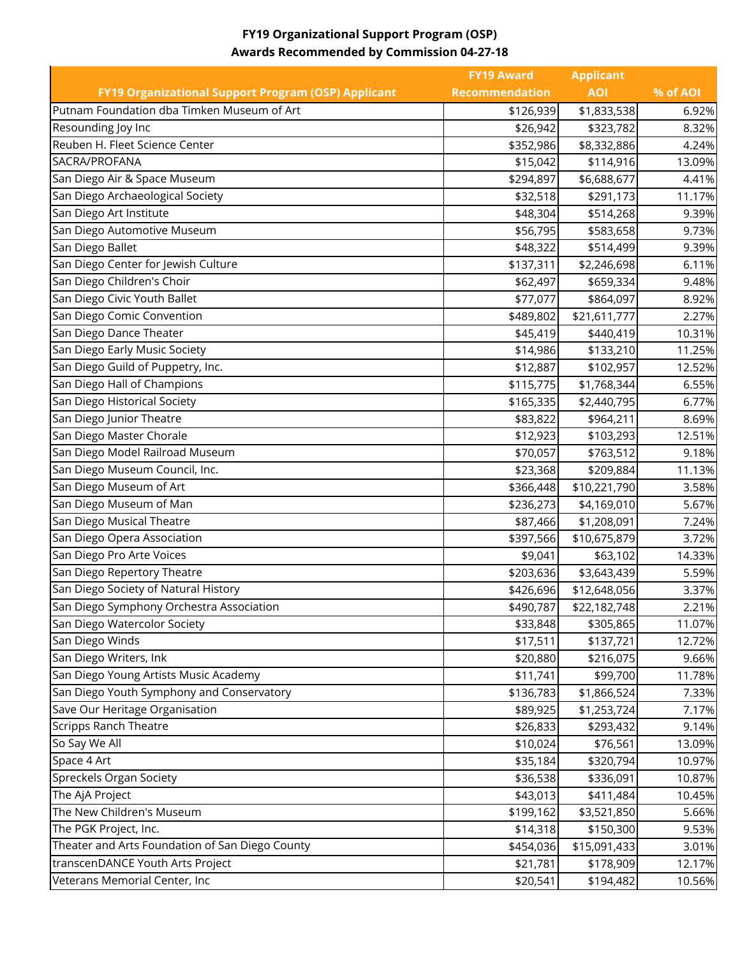# **FY19 Organizational Support Program (OSP) Awards Recommended by Commission 04-27-18**

|                                                     | <b>FY19 Award</b>     | <b>Applicant</b> |          |
|-----------------------------------------------------|-----------------------|------------------|----------|
| FY19 Organizational Support Program (OSP) Applicant | <b>Recommendation</b> | <b>AOI</b>       | % of AOI |
| Putnam Foundation dba Timken Museum of Art          | \$126,939             | \$1,833,538      | 6.92%    |
| Resounding Joy Inc                                  | \$26,942              | \$323,782        | 8.32%    |
| Reuben H. Fleet Science Center                      | \$352,986             | \$8,332,886      | 4.24%    |
| SACRA/PROFANA                                       | \$15,042              | \$114,916        | 13.09%   |
| San Diego Air & Space Museum                        | \$294,897             | \$6,688,677      | 4.41%    |
| San Diego Archaeological Society                    | \$32,518              | \$291,173        | 11.17%   |
| San Diego Art Institute                             | \$48,304              | \$514,268        | 9.39%    |
| San Diego Automotive Museum                         | \$56,795              | \$583,658        | 9.73%    |
| San Diego Ballet                                    | \$48,322              | \$514,499        | 9.39%    |
| San Diego Center for Jewish Culture                 | \$137,311             | \$2,246,698      | 6.11%    |
| San Diego Children's Choir                          | \$62,497              | \$659,334        | 9.48%    |
| San Diego Civic Youth Ballet                        | \$77,077              | \$864,097        | 8.92%    |
| San Diego Comic Convention                          | \$489,802             | \$21,611,777     | 2.27%    |
| San Diego Dance Theater                             | \$45,419              | \$440,419        | 10.31%   |
| San Diego Early Music Society                       | \$14,986              | \$133,210        | 11.25%   |
| San Diego Guild of Puppetry, Inc.                   | \$12,887              | \$102,957        | 12.52%   |
| San Diego Hall of Champions                         | \$115,775             | \$1,768,344      | 6.55%    |
| San Diego Historical Society                        | \$165,335             | \$2,440,795      | 6.77%    |
| San Diego Junior Theatre                            | \$83,822              | \$964,211        | 8.69%    |
| San Diego Master Chorale                            | \$12,923              | \$103,293        | 12.51%   |
| San Diego Model Railroad Museum                     | \$70,057              | \$763,512        | 9.18%    |
| San Diego Museum Council, Inc.                      | \$23,368              | \$209,884        | 11.13%   |
| San Diego Museum of Art                             | \$366,448             | \$10,221,790     | 3.58%    |
| San Diego Museum of Man                             | \$236,273             | \$4,169,010      | 5.67%    |
| San Diego Musical Theatre                           | \$87,466              | \$1,208,091      | 7.24%    |
| San Diego Opera Association                         | \$397,566             | \$10,675,879     | 3.72%    |
| San Diego Pro Arte Voices                           | \$9,041               | \$63,102         | 14.33%   |
| San Diego Repertory Theatre                         | \$203,636             | \$3,643,439      | 5.59%    |
| San Diego Society of Natural History                | \$426,696             | \$12,648,056     | 3.37%    |
| San Diego Symphony Orchestra Association            | \$490,787             | \$22,182,748     | 2.21%    |
| San Diego Watercolor Society                        | \$33,848              | \$305,865        | 11.07%   |
| San Diego Winds                                     | \$17,511              | \$137,721        | 12.72%   |
| San Diego Writers, Ink                              | \$20,880              | \$216,075        | 9.66%    |
| San Diego Young Artists Music Academy               | \$11,741              | \$99,700         | 11.78%   |
| San Diego Youth Symphony and Conservatory           | \$136,783             | \$1,866,524      | 7.33%    |
| Save Our Heritage Organisation                      | \$89,925              | \$1,253,724      | 7.17%    |
| <b>Scripps Ranch Theatre</b>                        | \$26,833              | \$293,432        | 9.14%    |
| So Say We All                                       | \$10,024              | \$76,561         | 13.09%   |
| Space 4 Art                                         | \$35,184              | \$320,794        | 10.97%   |
| Spreckels Organ Society                             | \$36,538              | \$336,091        | 10.87%   |
| The AjA Project                                     | \$43,013              | \$411,484        | 10.45%   |
| The New Children's Museum                           | \$199,162             | \$3,521,850      | 5.66%    |
| The PGK Project, Inc.                               | \$14,318              | \$150,300        | 9.53%    |
| Theater and Arts Foundation of San Diego County     | \$454,036             | \$15,091,433     | 3.01%    |
| transcenDANCE Youth Arts Project                    | \$21,781              | \$178,909        | 12.17%   |
| Veterans Memorial Center, Inc                       | \$20,541              | \$194,482        | 10.56%   |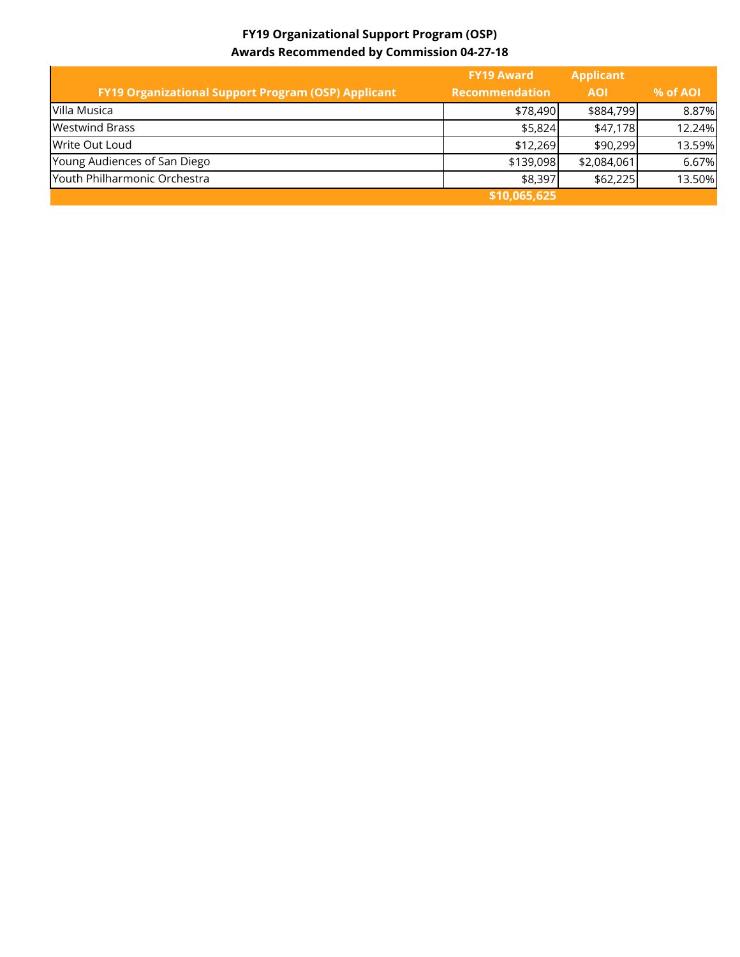# **FY19 Organizational Support Program (OSP) Awards Recommended by Commission 04-27-18**

|                                                     | <b>FY19 Award</b>     | <b>Applicant</b> |          |
|-----------------------------------------------------|-----------------------|------------------|----------|
| FY19 Organizational Support Program (OSP) Applicant | <b>Recommendation</b> | <b>AOI</b>       | % of AOI |
| Villa Musica                                        | \$78,490              | \$884,799        | 8.87%    |
| <b>Westwind Brass</b>                               | \$5,824               | \$47,178         | 12.24%   |
| Write Out Loud                                      | \$12,269              | \$90,299         | 13.59%   |
| Young Audiences of San Diego                        | \$139,098             | \$2,084,061      | 6.67%    |
| Youth Philharmonic Orchestra                        | \$8,397               | \$62,225         | 13.50%   |
|                                                     | \$10,065,625          |                  |          |